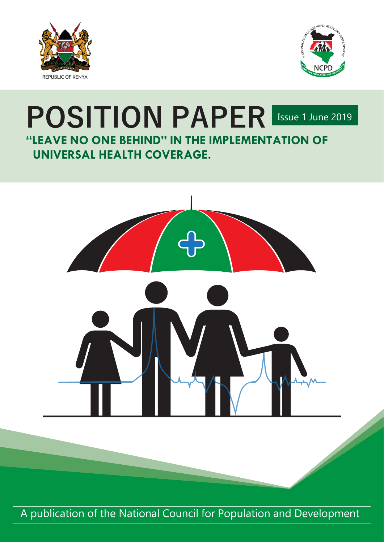



# **POSITION PAPER** ISSUE 1 June 2019 **"LEAVE NO ONE BEHIND" IN THE IMPLEMENTATION OF UNIVERSAL HEALTH COVERAGE.**



A publication of the National Council for Population and Development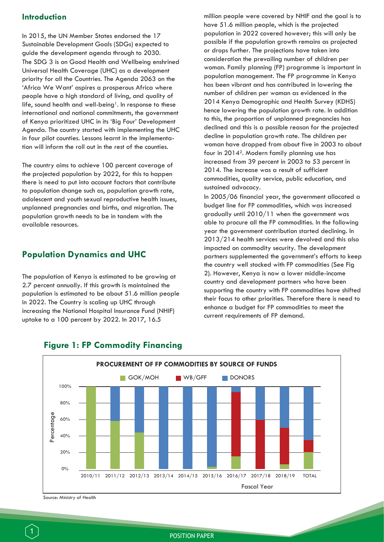#### **Introduction**

In 2015, the UN Member States endorsed the 17 Sustainable Development Goals (SDGs) expected to guide the development agenda through to 2030. The SDG 3 is on Good Health and Wellbeing enshrined Universal Health Coverage (UHC) as a development priority for all the Countries. The Agenda 2063 on the 'Africa We Want' aspires a prosperous Africa where people have a high standard of living, and quality of life, sound health and well-being<sup>1</sup>. In response to these international and national commitments, the government of Kenya prioritized UHC in its 'Big Four' Development Agenda. The country started with implementing the UHC in four pilot counties. Lessons learnt in the implementation will inform the roll out in the rest of the counties.

The country aims to achieve 100 percent coverage of the projected population by 2022, for this to happen there is need to put into account factors that contribute to population change such as, population growth rate, adolescent and youth sexual reproductive health issues, unplanned pregnancies and births, and migration. The population growth needs to be in tandem with the available resources.

#### **Population Dynamics and UHC**

The population of Kenya is estimated to be growing at 2.7 percent annually. If this growth is maintained the population is estimated to be about 51.6 million people in 2022. The Country is scaling up UHC through increasing the National Hospital Insurance Fund (NHIF) uptake to a 100 percent by 2022. In 2017, 16.5

million people were covered by NHIF and the goal is to have 51.6 million people, which is the projected population in 2022 covered however; this will only be possible if the population growth remains as projected or drops further. The projections have taken into consideration the prevailing number of children per woman. Family planning (FP) programme is important in population management. The FP programme in Kenya has been vibrant and has contributed in lowering the number of children per woman as evidenced in the 2014 Kenya Demographic and Health Survey (KDHS) hence lowering the population growth rate. In addition to this, the proportion of unplanned pregnancies has declined and this is a possible reason for the projected decline in population growth rate. The children per woman have dropped from about five in 2003 to about four in 20142. Modern family planning use has increased from 39 percent in 2003 to 53 percent in 2014. The increase was a result of sufficient commodities, quality service, public education, and sustained advocacy.

In 2005/06 financial year, the government allocated a budget line for FP commodities, which was increased gradually until 2010/11 when the government was able to procure all the FP commodities. In the following year the government contribution started declining. In 2013/214 health services were devolved and this also impacted on commodity security. The development partners supplemented the government's efforts to keep the country well stocked with FP commodities (See Fig 2). However, Kenya is now a lower middle-income country and development partners who have been supporting the country with FP commodities have shifted their focus to other priorities. Therefore there is need to enhance a budget for FP commodities to meet the current requirements of FP demand.



#### **Figure 1: FP Commodity Financing**

Source: Ministry of Health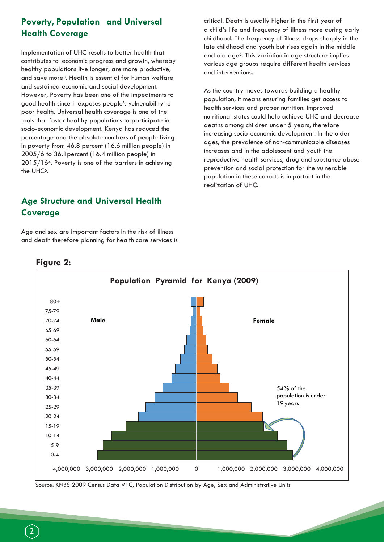## **Poverty, Population and Universal Health Coverage**

Implementation of UHC results to better health that contributes to economic progress and growth, whereby healthy populations live longer, are more productive, and save more3. Health is essential for human welfare and sustained economic and social development. However, Poverty has been one of the impediments to good health since it exposes people's vulnerability to poor health. Universal health coverage is one of the tools that foster healthy populations to participate in socio-economic development. Kenya has reduced the percentage and the absolute numbers of people living in poverty from 46.8 percent (16.6 million people) in 2005/6 to 36.1percent (16.4 million people) in 2015/164. Poverty is one of the barriers in achieving the UHC<sup>5</sup>.

## **Age Structure and Universal Health Coverage**

Age and sex are important factors in the risk of illness and death therefore planning for health care services is critical. Death is usually higher in the first year of a child's life and frequency of illness more during early childhood. The frequency of illness drops sharply in the late childhood and youth but rises again in the middle and old age<sup>6</sup>. This variation in age structure implies various age groups require different health services and interventions.

As the country moves towards building a healthy population, it means ensuring families get access to health services and proper nutrition. Improved nutritional status could help achieve UHC and decrease deaths among children under 5 years, therefore increasing socio-economic development. In the older ages, the prevalence of non-communicable diseases increases and in the adolescent and youth the reproductive health services, drug and substance abuse prevention and social protection for the vulnerable population in these cohorts is important in the realization of UHC.



#### **Figure 2:**

Source: KNBS 2009 Census Data V1C, Population Distribution by Age, Sex and Administrative Units

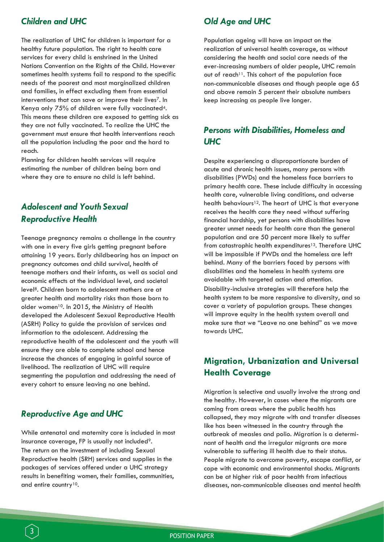#### *Children and UHC*

The realization of UHC for children is important for a healthy future population. The right to health care services for every child is enshrined in the United Nations Convention on the Rights of the Child. However sometimes health systems fail to respond to the specific needs of the poorest and most marginalized children and families, in effect excluding them from essential interventions that can save or improve their lives7. In Kenya only 75% of children were fully vaccinated4. This means these children are exposed to getting sick as they are not fully vaccinated. To realize the UHC the government must ensure that health interventions reach all the population including the poor and the hard to reach.

Planning for children health services will require estimating the number of children being born and where they are to ensure no child is left behind.

## *Adolescent and Youth Sexual Reproductive Health*

Teenage pregnancy remains a challenge in the country with one in every five girls getting pregnant before attaining 19 years. Early childbearing has an impact on pregnancy outcomes and child survival, health of teenage mothers and their infants, as well as social and economic effects at the individual level, and societal level8. Children born to adolescent mothers are at greater health and mortality risks than those born to older women<sup>10</sup>. In 2015, the Ministry of Health developed the Adolescent Sexual Reproductive Health (ASRH) Policy to guide the provision of services and information to the adolescent. Addressing the reproductive health of the adolescent and the youth will ensure they are able to complete school and hence increase the chances of engaging in gainful source of livelihood. The realization of UHC will require segmenting the population and addressing the need of every cohort to ensure leaving no one behind.

#### *Reproductive Age and UHC*

3

While antenatal and maternity care is included in most insurance coverage, FP is usually not included<sup>9</sup>. The return on the investment of including Sexual Reproductive health (SRH) services and supplies in the packages of services offered under a UHC strategy results in benefiting women, their families, communities, and entire country<sup>10</sup>.

## *Old Age and UHC*

Population ageing will have an impact on the realization of universal health coverage, as without considering the health and social care needs of the ever-increasing numbers of older people, UHC remain out of reach<sup>11</sup>. This cohort of the population face non-communicable diseases and though people age 65 and above remain 5 percent their absolute numbers keep increasing as people live longer.

### *Persons with Disabilities, Homeless and UHC*

Despite experiencing a disproportionate burden of acute and chronic health issues, many persons with disabilities (PWDs) and the homeless face barriers to primary health care. These include difficulty in accessing health care, vulnerable living conditions, and adverse health behaviours<sup>12</sup>. The heart of UHC is that everyone receives the health care they need without suffering financial hardship, yet persons with disabilities have greater unmet needs for health care than the general population and are 50 percent more likely to suffer from catastrophic health expenditures<sup>13</sup>. Therefore UHC will be impossible if PWDs and the homeless are left behind. Many of the barriers faced by persons with disabilities and the homeless in health systems are avoidable with targeted action and attention. Disability-inclusive strategies will therefore help the health system to be more responsive to diversity, and so cover a variety of population groups. These changes will improve equity in the health system overall and make sure that we "Leave no one behind" as we move towards UHC.

## **Migration, Urbanization and Universal Health Coverage**

Migration is selective and usually involve the strong and the healthy. However, in cases where the migrants are coming from areas where the public health has collapsed, they may migrate with and transfer diseases like has been witnessed in the country through the outbreak of measles and polio. Migration is a determinant of health and the irregular migrants are more vulnerable to suffering ill health due to their status. People migrate to overcome poverty, escape conflict, or cope with economic and environmental shocks. Migrants can be at higher risk of poor health from infectious diseases, non-communicable diseases and mental health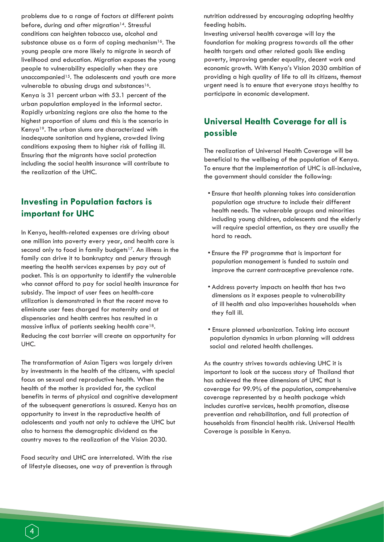problems due to a range of factors at different points before, during and after migration<sup>14</sup>. Stressful conditions can heighten tobacco use, alcohol and substance abuse as a form of coping mechanism<sup>16</sup>. The young people are more likely to migrate in search of livelihood and education. Migration exposes the young people to vulnerability especially when they are unaccompanied<sup>15</sup>. The adolescents and youth are more vulnerable to abusing drugs and substances<sup>16</sup>. Kenya is 31 percent urban with 53.1 percent of the urban population employed in the informal sector. Rapidly urbanizing regions are also the home to the highest proportion of slums and this is the scenario in Kenya19. The urban slums are characterized with inadequate sanitation and hygiene, crowded living conditions exposing them to higher risk of falling ill. Ensuring that the migrants have social protection including the social health insurance will contribute to the realization of the UHC.

## **Investing in Population factors is important for UHC**

In Kenya, health-related expenses are driving about one million into poverty every year, and health care is second only to food in family budgets<sup>17</sup>. An illness in the family can drive it to bankruptcy and penury through meeting the health services expenses by pay out of pocket. This is an opportunity to identify the vulnerable who cannot afford to pay for social health insurance for subsidy. The impact of user fees on health-care utilization is demonstrated in that the recent move to eliminate user fees charged for maternity and at dispensaries and health centres has resulted in a massive influx of patients seeking health care18. Reducing the cost barrier will create an opportunity for UHC.

The transformation of Asian Tigers was largely driven by investments in the health of the citizens, with special focus on sexual and reproductive health. When the health of the mother is provided for, the cyclical benefits in terms of physical and cognitive development of the subsequent generations is assured. Kenya has an opportunity to invest in the reproductive health of adolescents and youth not only to achieve the UHC but also to harness the demographic dividend as the country moves to the realization of the Vision 2030.

Food security and UHC are interrelated. With the rise of lifestyle diseases, one way of prevention is through

nutrition addressed by encouraging adopting healthy feeding habits.

Investing universal health coverage will lay the foundation for making progress towards all the other health targets and other related goals like ending poverty, improving gender equality, decent work and economic growth. With Kenya's Vision 2030 ambition of providing a high quality of life to all its citizens, themost urgent need is to ensure that everyone stays healthy to participate in economic development.

## **Universal Health Coverage for all is possible**

The realization of Universal Health Coverage will be beneficial to the wellbeing of the population of Kenya. To ensure that the implementation of UHC is all-inclusive, the government should consider the following:

- Ensure that health planning takes into consideration population age structure to include their different health needs. The vulnerable groups and minorities including young children, adolescents and the elderly will require special attention, as they are usually the hard to reach.
- Ensure the FP programme that is important for population management is funded to sustain and improve the current contraceptive prevalence rate.
- Address poverty impacts on health that has two dimensions as it exposes people to vulnerability of ill health and also impoverishes households when they fall ill.
- Ensure planned urbanization. Taking into account population dynamics in urban planning will address social and related health challenges.

As the country strives towards achieving UHC it is important to look at the success story of Thailand that has achieved the three dimensions of UHC that is coverage for 99.9% of the population, comprehensive coverage represented by a health package which includes curative services, health promotion, disease prevention and rehabilitation, and full protection of households from financial health risk. Universal Health Coverage is possible in Kenya.

4